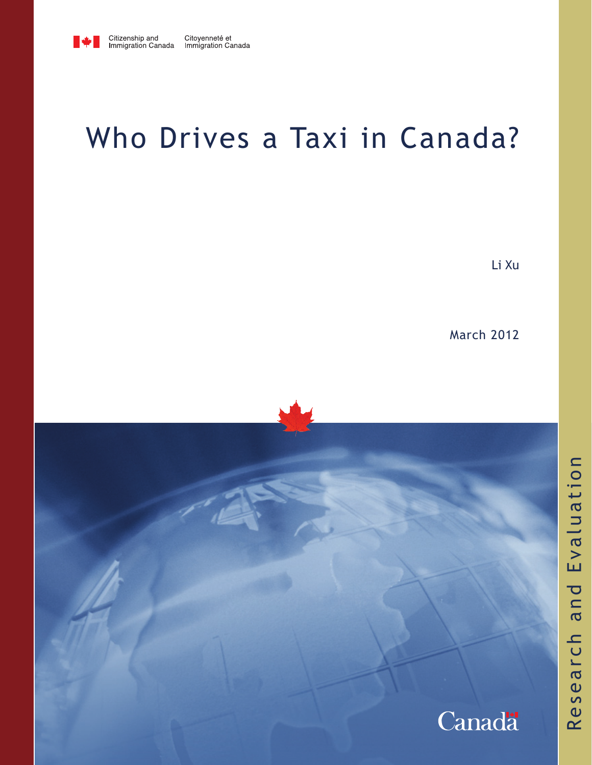

# Who Drives a Taxi in Canada?

Li Xu

March 2012

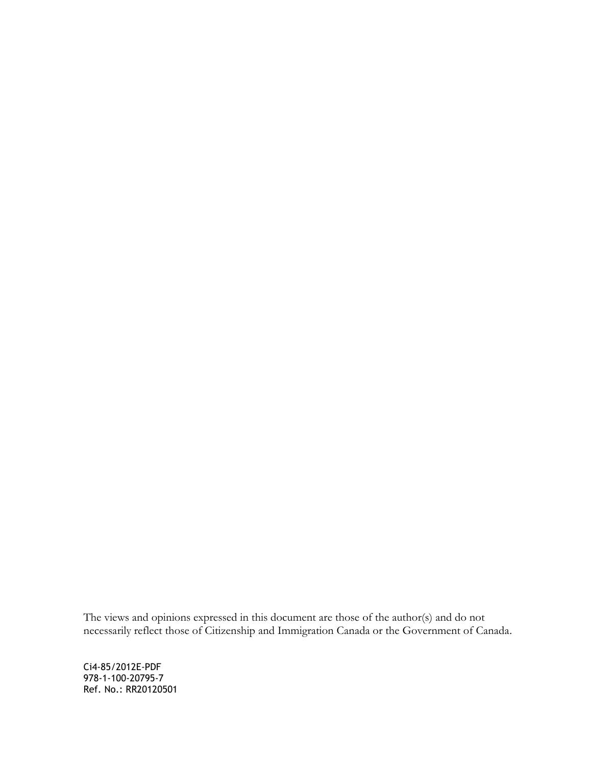The views and opinions expressed in this document are those of the author(s) and do not necessarily reflect those of Citizenship and Immigration Canada or the Government of Canada.

Ci4-85/2012E-PDF 978-1-100-20795-7 Ref. No.: RR20120501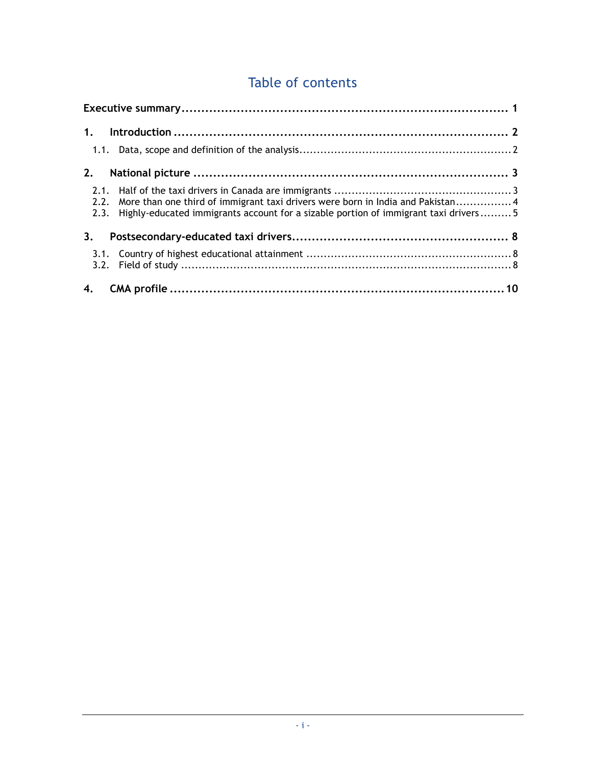# Table of contents

| 1.                   |                                                                                                                                                                        |  |
|----------------------|------------------------------------------------------------------------------------------------------------------------------------------------------------------------|--|
|                      |                                                                                                                                                                        |  |
| 2.                   |                                                                                                                                                                        |  |
| 2.1.<br>2.2.<br>2.3. | More than one third of immigrant taxi drivers were born in India and Pakistan 4<br>Highly-educated immigrants account for a sizable portion of immigrant taxi drivers5 |  |
| 3 <sub>1</sub>       |                                                                                                                                                                        |  |
| 3.1.                 |                                                                                                                                                                        |  |
| 4.                   |                                                                                                                                                                        |  |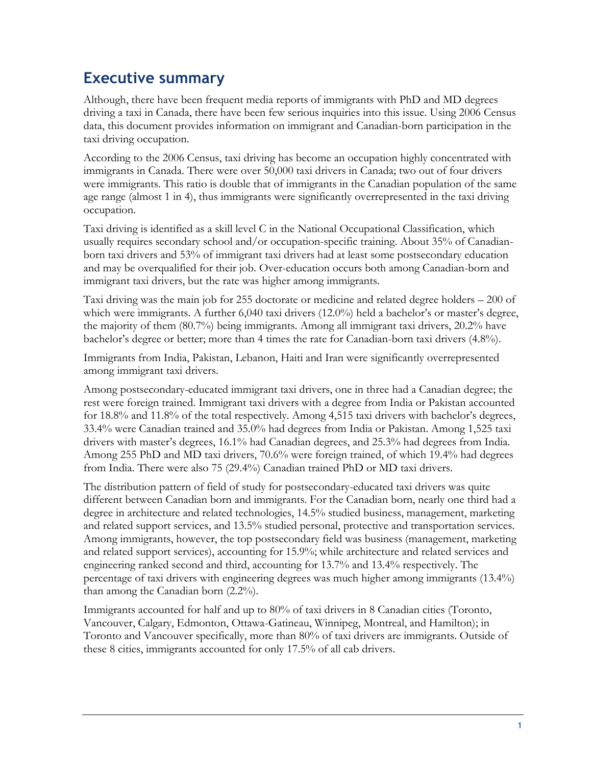## <span id="page-4-0"></span>**Executive summary**

Although, there have been frequent media reports of immigrants with PhD and MD degrees driving a taxi in Canada, there have been few serious inquiries into this issue. Using 2006 Census data, this document provides information on immigrant and Canadian-born participation in the taxi driving occupation.

According to the 2006 Census, taxi driving has become an occupation highly concentrated with immigrants in Canada. There were over 50,000 taxi drivers in Canada; two out of four drivers were immigrants. This ratio is double that of immigrants in the Canadian population of the same age range (almost 1 in 4), thus immigrants were significantly overrepresented in the taxi driving occupation.

Taxi driving is identified as a skill level C in the National Occupational Classification, which usually requires secondary school and/or occupation-specific training. About 35% of Canadianborn taxi drivers and 53% of immigrant taxi drivers had at least some postsecondary education and may be overqualified for their job. Over-education occurs both among Canadian-born and immigrant taxi drivers, but the rate was higher among immigrants.

Taxi driving was the main job for 255 doctorate or medicine and related degree holders – 200 of which were immigrants. A further 6,040 taxi drivers (12.0%) held a bachelor's or master's degree, the majority of them (80.7%) being immigrants. Among all immigrant taxi drivers, 20.2% have bachelor's degree or better; more than 4 times the rate for Canadian-born taxi drivers (4.8%).

Immigrants from India, Pakistan, Lebanon, Haiti and Iran were significantly overrepresented among immigrant taxi drivers.

Among postsecondary-educated immigrant taxi drivers, one in three had a Canadian degree; the rest were foreign trained. Immigrant taxi drivers with a degree from India or Pakistan accounted for 18.8% and 11.8% of the total respectively. Among 4,515 taxi drivers with bachelor's degrees, 33.4% were Canadian trained and 35.0% had degrees from India or Pakistan. Among 1,525 taxi drivers with master's degrees, 16.1% had Canadian degrees, and 25.3% had degrees from India. Among 255 PhD and MD taxi drivers, 70.6% were foreign trained, of which 19.4% had degrees from India. There were also 75 (29.4%) Canadian trained PhD or MD taxi drivers.

The distribution pattern of field of study for postsecondary-educated taxi drivers was quite different between Canadian born and immigrants. For the Canadian born, nearly one third had a degree in architecture and related technologies, 14.5% studied business, management, marketing and related support services, and 13.5% studied personal, protective and transportation services. Among immigrants, however, the top postsecondary field was business (management, marketing and related support services), accounting for 15.9%; while architecture and related services and engineering ranked second and third, accounting for 13.7% and 13.4% respectively. The percentage of taxi drivers with engineering degrees was much higher among immigrants (13.4%) than among the Canadian born (2.2%).

Immigrants accounted for half and up to 80% of taxi drivers in 8 Canadian cities (Toronto, Vancouver, Calgary, Edmonton, Ottawa-Gatineau, Winnipeg, Montreal, and Hamilton); in Toronto and Vancouver specifically, more than 80% of taxi drivers are immigrants. Outside of these 8 cities, immigrants accounted for only 17.5% of all cab drivers.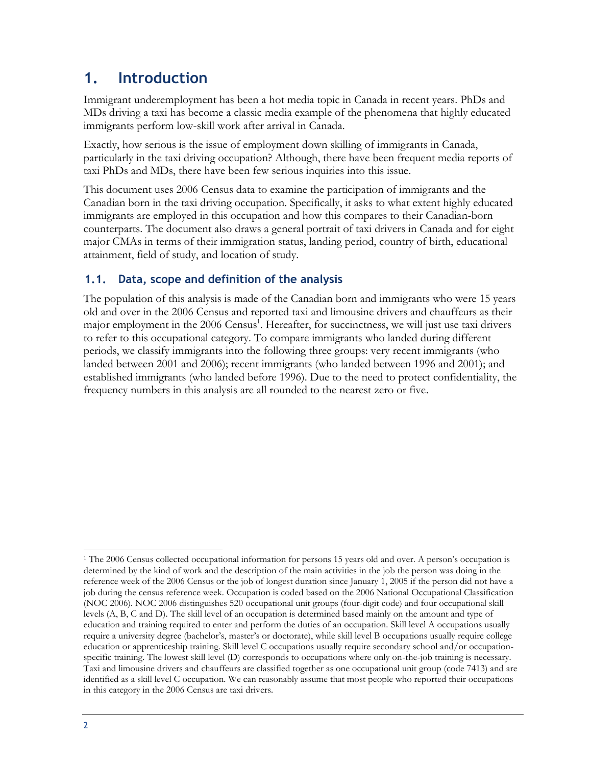# <span id="page-5-0"></span>**1. Introduction**

Immigrant underemployment has been a hot media topic in Canada in recent years. PhDs and MDs driving a taxi has become a classic media example of the phenomena that highly educated immigrants perform low-skill work after arrival in Canada.

Exactly, how serious is the issue of employment down skilling of immigrants in Canada, particularly in the taxi driving occupation? Although, there have been frequent media reports of taxi PhDs and MDs, there have been few serious inquiries into this issue.

This document uses 2006 Census data to examine the participation of immigrants and the Canadian born in the taxi driving occupation. Specifically, it asks to what extent highly educated immigrants are employed in this occupation and how this compares to their Canadian-born counterparts. The document also draws a general portrait of taxi drivers in Canada and for eight major CMAs in terms of their immigration status, landing period, country of birth, educational attainment, field of study, and location of study.

### <span id="page-5-1"></span>**1.1. Data, scope and definition of the analysis**

The population of this analysis is made of the Canadian born and immigrants who were 15 years old and over in the 2006 Census and reported taxi and limousine drivers and chauffeurs as their major employment in the 2006 Census<sup>1</sup>. Hereafter, for succinctness, we will just use taxi drivers to refer to this occupational category. To compare immigrants who landed during different periods, we classify immigrants into the following three groups: very recent immigrants (who landed between 2001 and 2006); recent immigrants (who landed between 1996 and 2001); and established immigrants (who landed before 1996). Due to the need to protect confidentiality, the frequency numbers in this analysis are all rounded to the nearest zero or five.

 $\overline{a}$ <sup>1</sup> The 2006 Census collected occupational information for persons 15 years old and over. A person's occupation is determined by the kind of work and the description of the main activities in the job the person was doing in the reference week of the 2006 Census or the job of longest duration since January 1, 2005 if the person did not have a job during the census reference week. Occupation is coded based on the 2006 National Occupational Classification (NOC 2006). NOC 2006 distinguishes 520 occupational unit groups (four-digit code) and four occupational skill levels (A, B, C and D). The skill level of an occupation is determined based mainly on the amount and type of education and training required to enter and perform the duties of an occupation. Skill level A occupations usually require a university degree (bachelor's, master's or doctorate), while skill level B occupations usually require college education or apprenticeship training. Skill level C occupations usually require secondary school and/or occupationspecific training. The lowest skill level (D) corresponds to occupations where only on-the-job training is necessary. Taxi and limousine drivers and chauffeurs are classified together as one occupational unit group (code 7413) and are identified as a skill level C occupation. We can reasonably assume that most people who reported their occupations in this category in the 2006 Census are taxi drivers.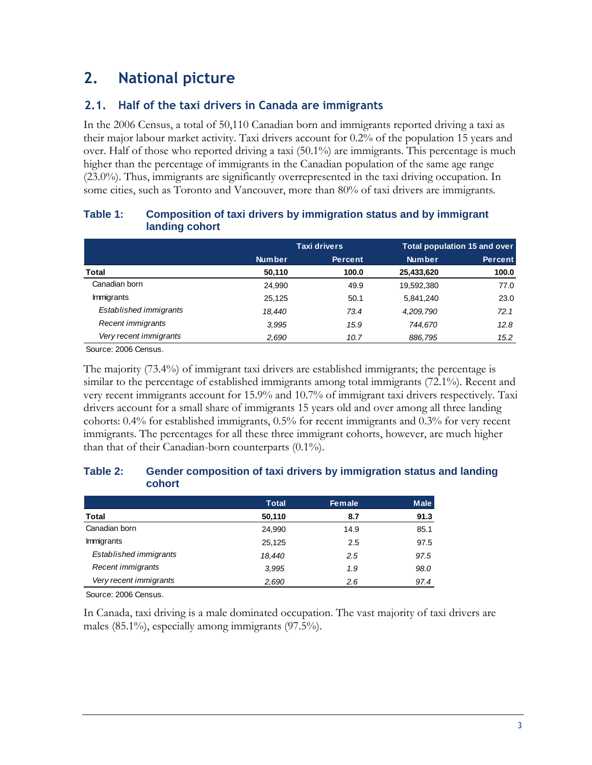# <span id="page-6-0"></span>**2. National picture**

### <span id="page-6-1"></span>**2.1. Half of the taxi drivers in Canada are immigrants**

In the 2006 Census, a total of 50,110 Canadian born and immigrants reported driving a taxi as their major labour market activity. Taxi drivers account for 0.2% of the population 15 years and over. Half of those who reported driving a taxi (50.1%) are immigrants. This percentage is much higher than the percentage of immigrants in the Canadian population of the same age range (23.0%). Thus, immigrants are significantly overrepresented in the taxi driving occupation. In some cities, such as Toronto and Vancouver, more than 80% of taxi drivers are immigrants.

|                        |               | <b>Taxi drivers</b> | <b>Total population 15 and over</b> |                |  |  |
|------------------------|---------------|---------------------|-------------------------------------|----------------|--|--|
|                        | <b>Number</b> | <b>Percent</b>      | <b>Number</b>                       | <b>Percent</b> |  |  |
| Total                  | 50,110        | 100.0               | 25,433,620                          | 100.0          |  |  |
| Canadian born          | 24.990        | 49.9                | 19,592,380                          | 77.0           |  |  |
| <b>Immigrants</b>      | 25.125        | 50.1                | 5.841.240                           | 23.0           |  |  |
| Established immigrants | 18.440        | 73.4                | 4,209,790                           | 72.1           |  |  |
| Recent immigrants      | 3.995         | 15.9                | 744,670                             | 12.8           |  |  |
| Very recent immigrants | 2,690         | 10.7                | 886,795                             | 15.2           |  |  |

#### **Table 1: Composition of taxi drivers by immigration status and by immigrant landing cohort**

Source: 2006 Census.

The majority (73.4%) of immigrant taxi drivers are established immigrants; the percentage is similar to the percentage of established immigrants among total immigrants (72.1%). Recent and very recent immigrants account for 15.9% and 10.7% of immigrant taxi drivers respectively. Taxi drivers account for a small share of immigrants 15 years old and over among all three landing cohorts: 0.4% for established immigrants, 0.5% for recent immigrants and 0.3% for very recent immigrants. The percentages for all these three immigrant cohorts, however, are much higher than that of their Canadian-born counterparts (0.1%).

#### **Table 2: Gender composition of taxi drivers by immigration status and landing cohort**

|                        | <b>Total</b> | <b>Female</b> | <b>Male</b> |
|------------------------|--------------|---------------|-------------|
| Total                  | 50,110       | 8.7           | 91.3        |
| Canadian born          | 24,990       | 14.9          | 85.1        |
| <b>Immigrants</b>      | 25,125       | 2.5           | 97.5        |
| Established immigrants | 18.440       | 2.5           | 97.5        |
| Recent immigrants      | 3,995        | 1.9           | 98.0        |
| Very recent immigrants | 2,690        | 2.6           | 97.4        |

Source: 2006 Census.

In Canada, taxi driving is a male dominated occupation. The vast majority of taxi drivers are males (85.1%), especially among immigrants (97.5%).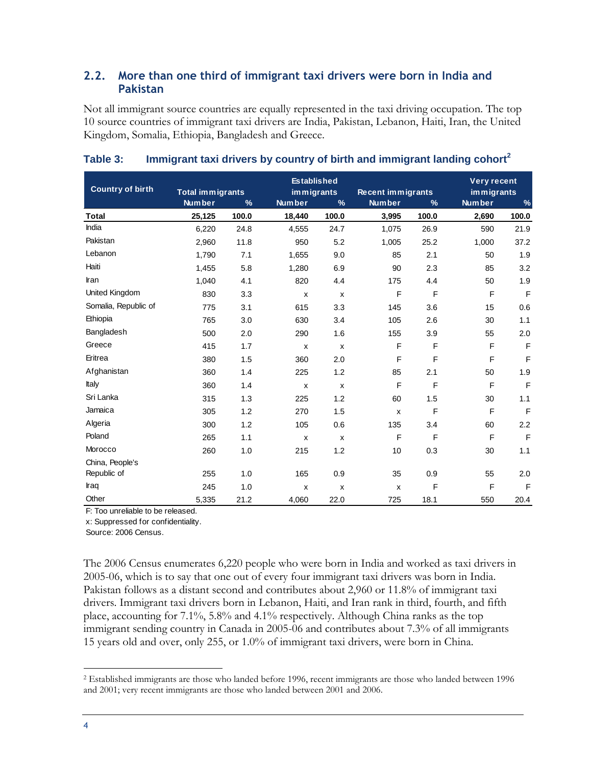### <span id="page-7-0"></span>**2.2. More than one third of immigrant taxi drivers were born in India and Pakistan**

Not all immigrant source countries are equally represented in the taxi driving occupation. The top 10 source countries of immigrant taxi drivers are India, Pakistan, Lebanon, Haiti, Iran, the United Kingdom, Somalia, Ethiopia, Bangladesh and Greece.

| <b>Country of birth</b> |                                          |       | <b>Established</b> |                             |                           |                                           | <b>Very recent</b>                  |              |
|-------------------------|------------------------------------------|-------|--------------------|-----------------------------|---------------------------|-------------------------------------------|-------------------------------------|--------------|
|                         | <b>Total immigrants</b><br><b>Number</b> | $\%$  | <b>Number</b>      | immigrants<br>$\frac{9}{6}$ |                           | <b>Recent immigrants</b><br>$\frac{9}{6}$ | immigrants<br><b>Number</b><br>$\%$ |              |
| <b>Total</b>            | 25,125                                   | 100.0 | 18,440             | 100.0                       | 3,995                     | 100.0                                     | 2,690                               | 100.0        |
| India                   | 6,220                                    | 24.8  | 4,555              | 24.7                        | 1,075                     | 26.9                                      | 590                                 | 21.9         |
| Pakistan                | 2,960                                    | 11.8  | 950                | 5.2                         | 1,005                     | 25.2                                      | 1,000                               | 37.2         |
| Lebanon                 | 1,790                                    | 7.1   | 1,655              | 9.0                         | 85                        | 2.1                                       | 50                                  | 1.9          |
| Haiti                   | 1,455                                    | 5.8   | 1,280              | 6.9                         | 90                        | 2.3                                       | 85                                  | 3.2          |
| Iran                    | 1,040                                    | 4.1   | 820                | 4.4                         | 175                       | 4.4                                       | 50                                  | 1.9          |
| United Kingdom          | 830                                      | 3.3   | X                  | X                           | $\mathsf F$               | F                                         | F                                   | F            |
| Somalia, Republic of    | 775                                      | 3.1   | 615                | 3.3                         | 145                       | 3.6                                       | 15                                  | 0.6          |
| Ethiopia                | 765                                      | 3.0   | 630                | 3.4                         | 105                       | 2.6                                       | 30                                  | 1.1          |
| Bangladesh              | 500                                      | 2.0   | 290                | 1.6                         | 155                       | 3.9                                       | 55                                  | 2.0          |
| Greece                  | 415                                      | 1.7   | X                  | X                           | F                         | F                                         | F                                   | $\mathsf F$  |
| Eritrea                 | 380                                      | 1.5   | 360                | 2.0                         | F                         | $\mathsf F$                               | F                                   | $\mathsf{F}$ |
| Afghanistan             | 360                                      | 1.4   | 225                | 1.2                         | 85                        | 2.1                                       | 50                                  | 1.9          |
| Italy                   | 360                                      | 1.4   | X                  | X                           | F                         | F                                         | F                                   | $\mathsf F$  |
| Sri Lanka               | 315                                      | 1.3   | 225                | 1.2                         | 60                        | 1.5                                       | 30                                  | 1.1          |
| Jamaica                 | 305                                      | 1.2   | 270                | 1.5                         | X                         | F                                         | F                                   | $\mathsf F$  |
| Algeria                 | 300                                      | 1.2   | 105                | 0.6                         | 135                       | 3.4                                       | 60                                  | 2.2          |
| Poland                  | 265                                      | 1.1   | x                  | x                           | F                         | F                                         | F                                   | F            |
| Morocco                 | 260                                      | 1.0   | 215                | 1.2                         | 10                        | 0.3                                       | 30                                  | 1.1          |
| China, People's         |                                          |       |                    |                             |                           |                                           |                                     |              |
| Republic of             | 255                                      | 1.0   | 165                | 0.9                         | 35                        | 0.9                                       | 55                                  | 2.0          |
| Iraq                    | 245                                      | 1.0   | x                  | X                           | $\boldsymbol{\mathsf{x}}$ | F                                         | F                                   | $\mathsf F$  |
| Other                   | 5.335                                    | 21.2  | 4,060              | 22.0                        | 725                       | 18.1                                      | 550                                 | 20.4         |

#### **Table 3: Immigrant taxi drivers by country of birth and immigrant landing cohort<sup>2</sup>**

F: Too unreliable to be released.

x: Suppressed for confidentiality.

Source: 2006 Census.

The 2006 Census enumerates 6,220 people who were born in India and worked as taxi drivers in 2005-06, which is to say that one out of every four immigrant taxi drivers was born in India. Pakistan follows as a distant second and contributes about 2,960 or 11.8% of immigrant taxi drivers. Immigrant taxi drivers born in Lebanon, Haiti, and Iran rank in third, fourth, and fifth place, accounting for 7.1%, 5.8% and 4.1% respectively. Although China ranks as the top immigrant sending country in Canada in 2005-06 and contributes about 7.3% of all immigrants 15 years old and over, only 255, or 1.0% of immigrant taxi drivers, were born in China.

 $\overline{a}$ 

<sup>2</sup> Established immigrants are those who landed before 1996, recent immigrants are those who landed between 1996 and 2001; very recent immigrants are those who landed between 2001 and 2006.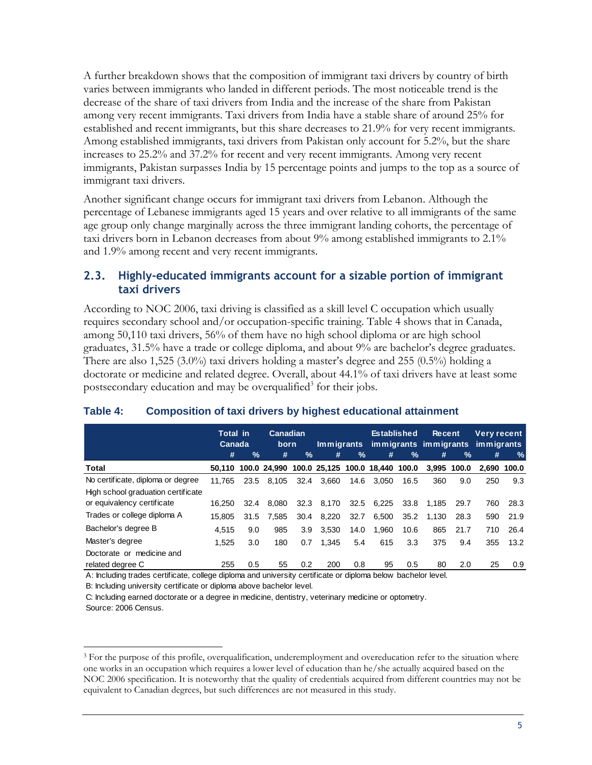A further breakdown shows that the composition of immigrant taxi drivers by country of birth varies between immigrants who landed in different periods. The most noticeable trend is the decrease of the share of taxi drivers from India and the increase of the share from Pakistan among very recent immigrants. Taxi drivers from India have a stable share of around 25% for established and recent immigrants, but this share decreases to 21.9% for very recent immigrants. Among established immigrants, taxi drivers from Pakistan only account for 5.2%, but the share increases to 25.2% and 37.2% for recent and very recent immigrants. Among very recent immigrants, Pakistan surpasses India by 15 percentage points and jumps to the top as a source of immigrant taxi drivers.

Another significant change occurs for immigrant taxi drivers from Lebanon. Although the percentage of Lebanese immigrants aged 15 years and over relative to all immigrants of the same age group only change marginally across the three immigrant landing cohorts, the percentage of taxi drivers born in Lebanon decreases from about 9% among established immigrants to 2.1% and 1.9% among recent and very recent immigrants.

#### <span id="page-8-0"></span>**2.3. Highly-educated immigrants account for a sizable portion of immigrant taxi drivers**

According to NOC 2006, taxi driving is classified as a skill level C occupation which usually requires secondary school and/or occupation-specific training. [Table 4](#page-8-1) shows that in Canada, among 50,110 taxi drivers, 56% of them have no high school diploma or are high school graduates, 31.5% have a trade or college diploma, and about 9% are bachelor's degree graduates. There are also 1,525 (3.0%) taxi drivers holding a master's degree and 255 (0.5%) holding a doctorate or medicine and related degree. Overall, about 44.1% of taxi drivers have at least some postsecondary education and may be overqualified<sup>3</sup> for their jobs.

|                                    | <b>Total in</b><br>Canada |      | Canadian<br>born |      | <u>Immigrants</u>                                   |               | <b>Established</b> |               | <b>Recent</b><br>immigrants immigrants immigrants |               | <b>Very recent</b> |             |
|------------------------------------|---------------------------|------|------------------|------|-----------------------------------------------------|---------------|--------------------|---------------|---------------------------------------------------|---------------|--------------------|-------------|
|                                    | #                         | %    | #                | $\%$ | #                                                   | $\frac{9}{6}$ | #                  | $\frac{9}{6}$ | #                                                 | $\frac{9}{6}$ | #                  | %           |
| Total                              |                           |      |                  |      | 50.110 100.0 24.990 100.0 25.125 100.0 18.440 100.0 |               |                    |               |                                                   | 3.995 100.0   |                    | 2.690 100.0 |
| No certificate, diploma or degree  | 11.765                    | 23.5 | 8.105            | 32.4 | 3.660                                               | 14.6          | 3.050              | 16.5          | 360                                               | 9.0           | 250                | 9.3         |
| High school graduation certificate |                           |      |                  |      |                                                     |               |                    |               |                                                   |               |                    |             |
| or equivalency certificate         | 16.250                    | 32.4 | 8.080            |      | 32.3 8.170                                          |               | 32.5 6,225         | 33.8          | 1.185                                             | 29.7          | 760                | 28.3        |
| Trades or college diploma A        | 15.805                    | 31.5 | 7.585            | 30.4 | 8.220                                               | 32.7          | 6.500              | 35.2          | 1.130                                             | 28.3          | 590                | 21.9        |
| Bachelor's degree B                | 4.515                     | 9.0  | 985              | 3.9  | 3.530                                               | 14.0          | 1.960              | 10.6          | 865                                               | 21.7          | 710                | 26.4        |
| Master's degree                    | 1.525                     | 3.0  | 180              | 0.7  | 1.345                                               | 5.4           | 615                | 3.3           | 375                                               | 9.4           | 355                | 13.2        |
| Doctorate or medicine and          |                           |      |                  |      |                                                     |               |                    |               |                                                   |               |                    |             |
| related degree C                   | 255                       | 0.5  | 55               | 0.2  | 200                                                 | 0.8           | 95                 | 0.5           | 80                                                | 2.0           | 25                 | 0.9         |

#### <span id="page-8-1"></span>**Table 4: Composition of taxi drivers by highest educational attainment**

A: Including trades certificate, college diploma and university certificate or diploma below bachelor level.

B: Including university certificate or diploma above bachelor level.

C: Including earned doctorate or a degree in medicine, dentistry, veterinary medicine or optometry.

 $\overline{a}$ 

Source: 2006 Census.

<sup>&</sup>lt;sup>3</sup> For the purpose of this profile, overqualification, underemployment and overeducation refer to the situation where one works in an occupation which requires a lower level of education than he/she actually acquired based on the NOC 2006 specification. It is noteworthy that the quality of credentials acquired from different countries may not be equivalent to Canadian degrees, but such differences are not measured in this study.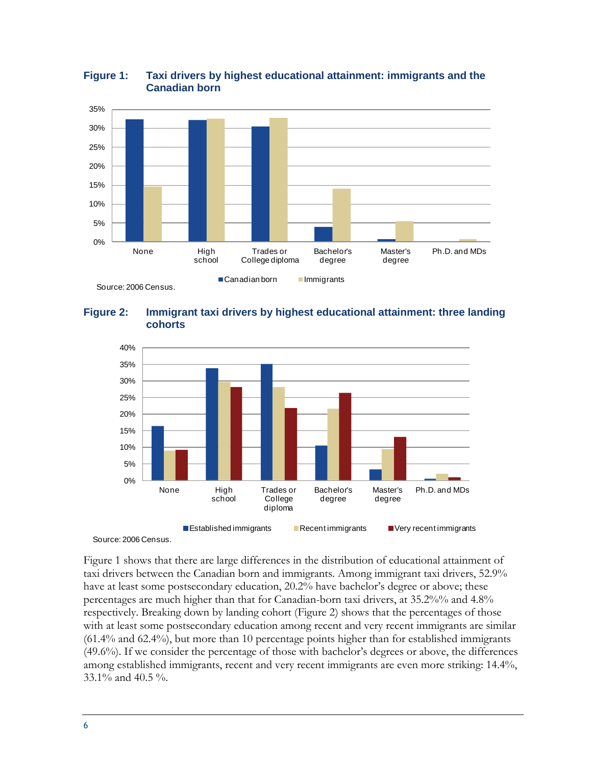

#### <span id="page-9-0"></span>**Figure 1: Taxi drivers by highest educational attainment: immigrants and the Canadian born**

<span id="page-9-1"></span>**Figure 2: Immigrant taxi drivers by highest educational attainment: three landing cohorts**





[Figure 1](#page-9-0) shows that there are large differences in the distribution of educational attainment of taxi drivers between the Canadian born and immigrants. Among immigrant taxi drivers, 52.9% have at least some postsecondary education, 20.2% have bachelor's degree or above; these percentages are much higher than that for Canadian-born taxi drivers, at 35.2%% and 4.8% respectively. Breaking down by landing cohort [\(Figure 2\)](#page-9-1) shows that the percentages of those with at least some postsecondary education among recent and very recent immigrants are similar (61.4% and 62.4%), but more than 10 percentage points higher than for established immigrants (49.6%). If we consider the percentage of those with bachelor's degrees or above, the differences among established immigrants, recent and very recent immigrants are even more striking: 14.4%, 33.1% and 40.5 %.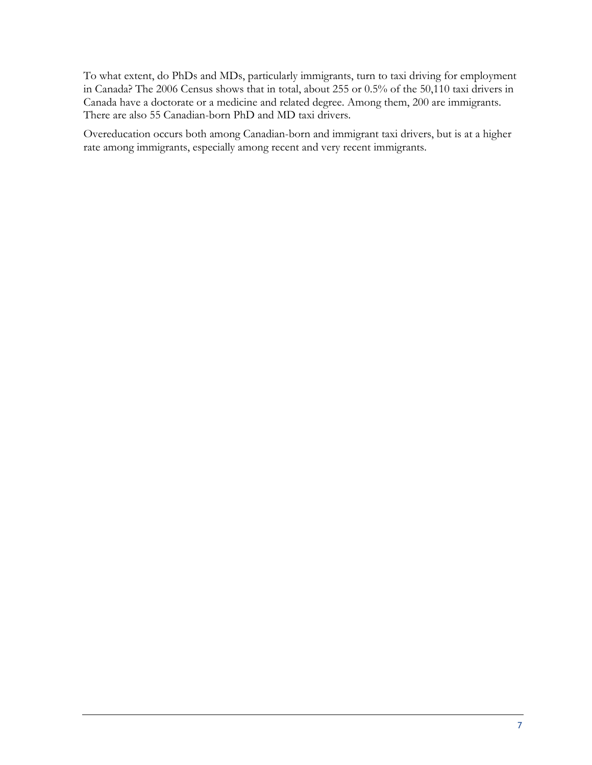To what extent, do PhDs and MDs, particularly immigrants, turn to taxi driving for employment in Canada? The 2006 Census shows that in total, about 255 or 0.5% of the 50,110 taxi drivers in Canada have a doctorate or a medicine and related degree. Among them, 200 are immigrants. There are also 55 Canadian-born PhD and MD taxi drivers.

Overeducation occurs both among Canadian-born and immigrant taxi drivers, but is at a higher rate among immigrants, especially among recent and very recent immigrants.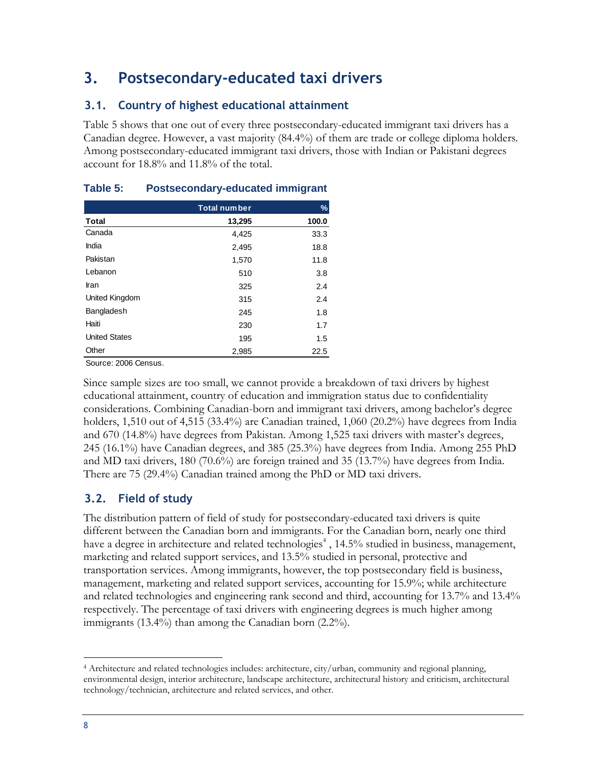# <span id="page-11-0"></span>**3. Postsecondary-educated taxi drivers**

### <span id="page-11-1"></span>**3.1. Country of highest educational attainment**

[Table 5](#page-11-3) shows that one out of every three postsecondary-educated immigrant taxi drivers has a Canadian degree. However, a vast majority (84.4%) of them are trade or college diploma holders. Among postsecondary-educated immigrant taxi drivers, those with Indian or Pakistani degrees account for 18.8% and 11.8% of the total.

|                      | <b>Total number</b> | %     |
|----------------------|---------------------|-------|
| <b>Total</b>         | 13,295              | 100.0 |
| Canada               | 4,425               | 33.3  |
| India                | 2,495               | 18.8  |
| Pakistan             | 1,570               | 11.8  |
| Lebanon              | 510                 | 3.8   |
| Iran                 | 325                 | 2.4   |
| United Kingdom       | 315                 | 2.4   |
| Bangladesh           | 245                 | 1.8   |
| Haiti                | 230                 | 1.7   |
| <b>United States</b> | 195                 | 1.5   |
| Other                | 2,985               | 22.5  |

### <span id="page-11-3"></span>**Table 5: Postsecondary-educated immigrant**

Source: 2006 Census.

Since sample sizes are too small, we cannot provide a breakdown of taxi drivers by highest educational attainment, country of education and immigration status due to confidentiality considerations. Combining Canadian-born and immigrant taxi drivers, among bachelor's degree holders, 1,510 out of 4,515 (33.4%) are Canadian trained, 1,060 (20.2%) have degrees from India and 670 (14.8%) have degrees from Pakistan. Among 1,525 taxi drivers with master's degrees, 245 (16.1%) have Canadian degrees, and 385 (25.3%) have degrees from India. Among 255 PhD and MD taxi drivers, 180 (70.6%) are foreign trained and 35 (13.7%) have degrees from India. There are 75 (29.4%) Canadian trained among the PhD or MD taxi drivers.

### <span id="page-11-2"></span>**3.2. Field of study**

The distribution pattern of field of study for postsecondary-educated taxi drivers is quite different between the Canadian born and immigrants. For the Canadian born, nearly one third have a degree in architecture and related technologies<sup>4</sup>, 14.5% studied in business, management, marketing and related support services, and 13.5% studied in personal, protective and transportation services. Among immigrants, however, the top postsecondary field is business, management, marketing and related support services, accounting for 15.9%; while architecture and related technologies and engineering rank second and third, accounting for 13.7% and 13.4% respectively. The percentage of taxi drivers with engineering degrees is much higher among immigrants (13.4%) than among the Canadian born (2.2%).

 $\overline{a}$ <sup>4</sup> Architecture and related technologies includes: architecture, city/urban, community and regional planning, environmental design, interior architecture, landscape architecture, architectural history and criticism, architectural technology/technician, architecture and related services, and other.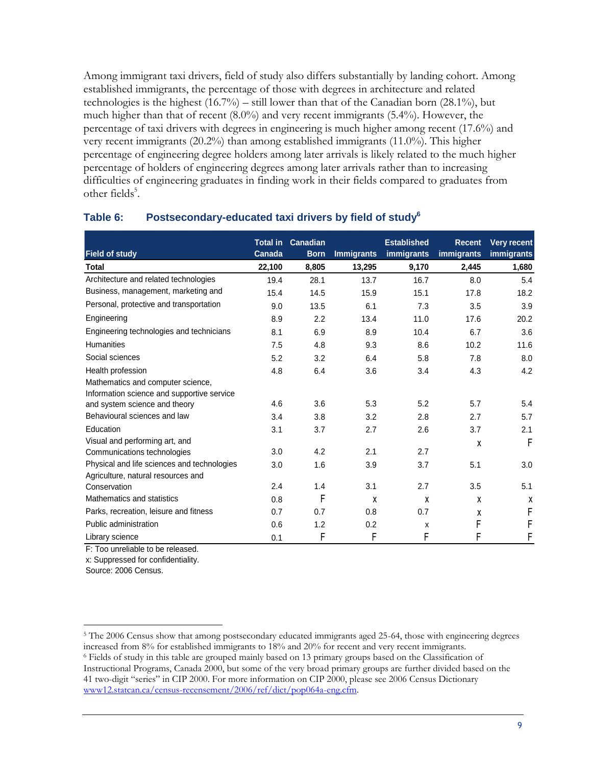Among immigrant taxi drivers, field of study also differs substantially by landing cohort. Among established immigrants, the percentage of those with degrees in architecture and related technologies is the highest (16.7%) – still lower than that of the Canadian born (28.1%), but much higher than that of recent (8.0%) and very recent immigrants (5.4%). However, the percentage of taxi drivers with degrees in engineering is much higher among recent (17.6%) and very recent immigrants (20.2%) than among established immigrants (11.0%). This higher percentage of engineering degree holders among later arrivals is likely related to the much higher percentage of holders of engineering degrees among later arrivals rather than to increasing difficulties of engineering graduates in finding work in their fields compared to graduates from other fields<sup>5</sup>.

|                                             |        | <b>Total in Canadian</b> |                   | <b>Established</b> | <b>Recent</b> | <b>Very recent</b> |
|---------------------------------------------|--------|--------------------------|-------------------|--------------------|---------------|--------------------|
| <b>Field of study</b>                       | Canada | <b>Born</b>              | <b>Immigrants</b> | <b>immigrants</b>  | immigrants    | immigrants         |
| Total                                       | 22,100 | 8,805                    | 13,295            | 9,170              | 2,445         | 1,680              |
| Architecture and related technologies       | 19.4   | 28.1                     | 13.7              | 16.7               | 8.0           | 5.4                |
| Business, management, marketing and         | 15.4   | 14.5                     | 15.9              | 15.1               | 17.8          | 18.2               |
| Personal, protective and transportation     | 9.0    | 13.5                     | 6.1               | 7.3                | 3.5           | 3.9                |
| Engineering                                 | 8.9    | 2.2                      | 13.4              | 11.0               | 17.6          | 20.2               |
| Engineering technologies and technicians    | 8.1    | 6.9                      | 8.9               | 10.4               | 6.7           | 3.6                |
| <b>Humanities</b>                           | 7.5    | 4.8                      | 9.3               | 8.6                | 10.2          | 11.6               |
| Social sciences                             | 5.2    | 3.2                      | 6.4               | 5.8                | 7.8           | 8.0                |
| Health profession                           | 4.8    | 6.4                      | 3.6               | 3.4                | 4.3           | 4.2                |
| Mathematics and computer science,           |        |                          |                   |                    |               |                    |
| Information science and supportive service  |        |                          |                   |                    |               |                    |
| and system science and theory               | 4.6    | 3.6                      | 5.3               | 5.2                | 5.7           | 5.4                |
| Behavioural sciences and law                | 3.4    | 3.8                      | 3.2               | 2.8                | 2.7           | 5.7                |
| Education                                   | 3.1    | 3.7                      | 2.7               | 2.6                | 3.7           | 2.1                |
| Visual and performing art, and              |        |                          |                   |                    | X             | $\mathsf{F}$       |
| Communications technologies                 | 3.0    | 4.2                      | 2.1               | 2.7                |               |                    |
| Physical and life sciences and technologies | 3.0    | 1.6                      | 3.9               | 3.7                | 5.1           | 3.0                |
| Agriculture, natural resources and          |        |                          |                   |                    |               |                    |
| Conservation                                | 2.4    | 1.4                      | 3.1               | 2.7                | 3.5           | 5.1                |
| Mathematics and statistics                  | 0.8    | F                        | X                 | X                  | X             | χ                  |
| Parks, recreation, leisure and fitness      | 0.7    | 0.7                      | 0.8               | 0.7                | X             | F                  |
| Public administration                       | 0.6    | 1.2                      | 0.2               | X                  | F             | F                  |
| Library science                             | 0.1    | F                        | F                 | F                  | F             | F                  |

#### **Table 6: Postsecondary-educated taxi drivers by field of study<sup>6</sup>**

F: Too unreliable to be released.

x: Suppressed for confidentiality.

Source: 2006 Census.

 $\overline{a}$ 

<sup>5</sup> The 2006 Census show that among postsecondary educated immigrants aged 25-64, those with engineering degrees increased from 8% for established immigrants to 18% and 20% for recent and very recent immigrants. <sup>6</sup> Fields of study in this table are grouped mainly based on 13 primary groups based on the Classification of Instructional Programs, Canada 2000, but some of the very broad primary groups are further divided based on the 41 two-digit "series" in CIP 2000. For more information on CIP 2000, please see 2006 Census Dictionary [www12.statcan.ca/census-recensement/2006/ref/dict/pop064a-eng.cfm.](www12.statcan.ca/census-recensement/2006/ref/dict/pop064a-eng.cfm)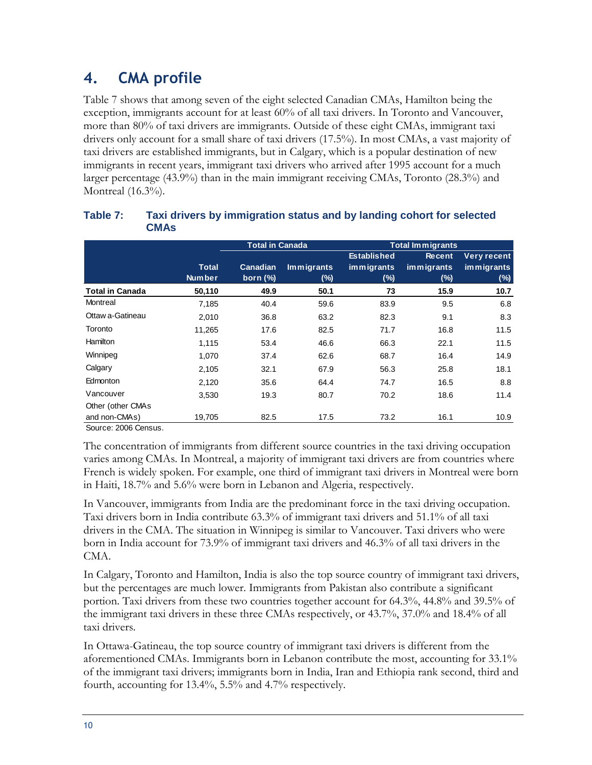# <span id="page-13-0"></span>**4. CMA profile**

[Table 7](#page-13-1) shows that among seven of the eight selected Canadian CMAs, Hamilton being the exception, immigrants account for at least 60% of all taxi drivers. In Toronto and Vancouver, more than 80% of taxi drivers are immigrants. Outside of these eight CMAs, immigrant taxi drivers only account for a small share of taxi drivers (17.5%). In most CMAs, a vast majority of taxi drivers are established immigrants, but in Calgary, which is a popular destination of new immigrants in recent years, immigrant taxi drivers who arrived after 1995 account for a much larger percentage (43.9%) than in the main immigrant receiving CMAs, Toronto (28.3%) and Montreal (16.3%).

| <b>Total in Canada</b> |                 |                   |                    | <b>Total Immigrants</b> |             |  |  |
|------------------------|-----------------|-------------------|--------------------|-------------------------|-------------|--|--|
|                        |                 |                   | <b>Established</b> | <b>Recent</b>           | Very recent |  |  |
| <b>Total</b>           | <b>Canadian</b> | <b>Immigrants</b> | immigrants         | immigrants              | immigrants  |  |  |
| <b>Number</b>          | born $(\%)$     | (%)               | (%)                | (%)                     | (%)         |  |  |
| 50,110                 | 49.9            | 50.1              | 73                 | 15.9                    | 10.7        |  |  |
| 7,185                  | 40.4            | 59.6              | 83.9               | 9.5                     | 6.8         |  |  |
| 2,010                  | 36.8            | 63.2              | 82.3               | 9.1                     | 8.3         |  |  |
| 11.265                 | 17.6            | 82.5              | 71.7               | 16.8                    | 11.5        |  |  |
| 1,115                  | 53.4            | 46.6              | 66.3               | 22.1                    | 11.5        |  |  |
| 1,070                  | 37.4            | 62.6              | 68.7               | 16.4                    | 14.9        |  |  |
| 2,105                  | 32.1            | 67.9              | 56.3               | 25.8                    | 18.1        |  |  |
| 2,120                  | 35.6            | 64.4              | 74.7               | 16.5                    | 8.8         |  |  |
| 3,530                  | 19.3            | 80.7              | 70.2               | 18.6                    | 11.4        |  |  |
|                        |                 |                   |                    |                         |             |  |  |
| 19,705                 | 82.5            | 17.5              | 73.2               | 16.1                    | 10.9        |  |  |
|                        |                 |                   |                    |                         |             |  |  |

#### <span id="page-13-1"></span>**Table 7: Taxi drivers by immigration status and by landing cohort for selected CMAs**

The concentration of immigrants from different source countries in the taxi driving occupation varies among CMAs. In Montreal, a majority of immigrant taxi drivers are from countries where French is widely spoken. For example, one third of immigrant taxi drivers in Montreal were born in Haiti, 18.7% and 5.6% were born in Lebanon and Algeria, respectively.

In Vancouver, immigrants from India are the predominant force in the taxi driving occupation. Taxi drivers born in India contribute 63.3% of immigrant taxi drivers and 51.1% of all taxi drivers in the CMA. The situation in Winnipeg is similar to Vancouver. Taxi drivers who were born in India account for 73.9% of immigrant taxi drivers and 46.3% of all taxi drivers in the CMA.

In Calgary, Toronto and Hamilton, India is also the top source country of immigrant taxi drivers, but the percentages are much lower. Immigrants from Pakistan also contribute a significant portion. Taxi drivers from these two countries together account for 64.3%, 44.8% and 39.5% of the immigrant taxi drivers in these three CMAs respectively, or 43.7%, 37.0% and 18.4% of all taxi drivers.

In Ottawa-Gatineau, the top source country of immigrant taxi drivers is different from the aforementioned CMAs. Immigrants born in Lebanon contribute the most, accounting for 33.1% of the immigrant taxi drivers; immigrants born in India, Iran and Ethiopia rank second, third and fourth, accounting for 13.4%, 5.5% and 4.7% respectively.